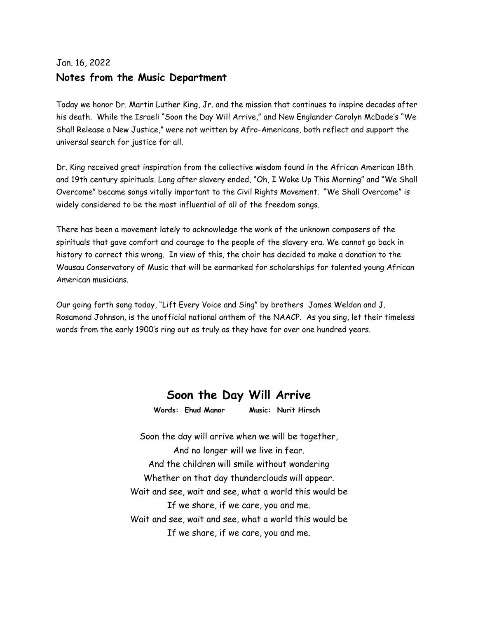## Jan. 16, 2022 **Notes from the Music Department**

Today we honor Dr. Martin Luther King, Jr. and the mission that continues to inspire decades after his death. While the Israeli "Soon the Day Will Arrive," and New Englander Carolyn McDade's "We Shall Release a New Justice," were not written by Afro-Americans, both reflect and support the universal search for justice for all.

Dr. King received great inspiration from the collective wisdom found in the African American 18th and 19th century spirituals. Long after slavery ended, "Oh, I Woke Up This Morning" and "We Shall Overcome" became songs vitally important to the Civil Rights Movement. "We Shall Overcome" is widely considered to be the most influential of all of the freedom songs.

There has been a movement lately to acknowledge the work of the unknown composers of the spirituals that gave comfort and courage to the people of the slavery era. We cannot go back in history to correct this wrong. In view of this, the choir has decided to make a donation to the Wausau Conservatory of Music that will be earmarked for scholarships for talented young African American musicians.

Our going forth song today, "Lift Every Voice and Sing" by brothers James Weldon and J. Rosamond Johnson, is the unofficial national anthem of the NAACP. As you sing, let their timeless words from the early 1900's ring out as truly as they have for over one hundred years.

## **Soon the Day Will Arrive**

**Words: Ehud Manor Music: Nurit Hirsch**

Soon the day will arrive when we will be together, And no longer will we live in fear. And the children will smile without wondering Whether on that day thunderclouds will appear. Wait and see, wait and see, what a world this would be If we share, if we care, you and me. Wait and see, wait and see, what a world this would be If we share, if we care, you and me.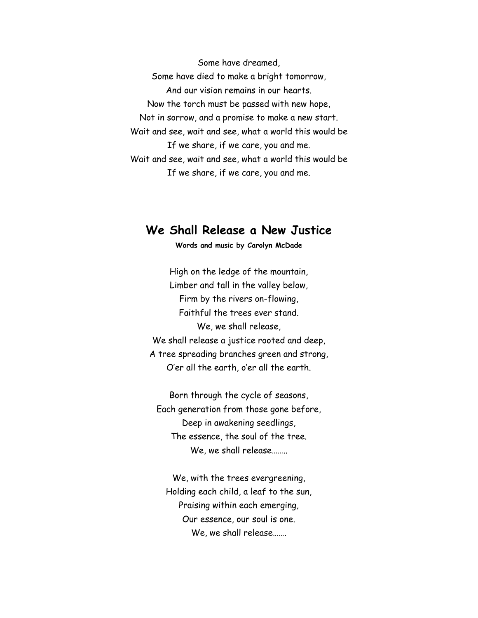Some have dreamed, Some have died to make a bright tomorrow, And our vision remains in our hearts. Now the torch must be passed with new hope, Not in sorrow, and a promise to make a new start. Wait and see, wait and see, what a world this would be If we share, if we care, you and me. Wait and see, wait and see, what a world this would be If we share, if we care, you and me.

## **We Shall Release a New Justice**

**Words and music by Carolyn McDade**

High on the ledge of the mountain, Limber and tall in the valley below, Firm by the rivers on-flowing, Faithful the trees ever stand. We, we shall release, We shall release a justice rooted and deep, A tree spreading branches green and strong, O'er all the earth, o'er all the earth.

Born through the cycle of seasons, Each generation from those gone before, Deep in awakening seedlings, The essence, the soul of the tree. We, we shall release……..

We, with the trees evergreening, Holding each child, a leaf to the sun, Praising within each emerging, Our essence, our soul is one. We, we shall release…….